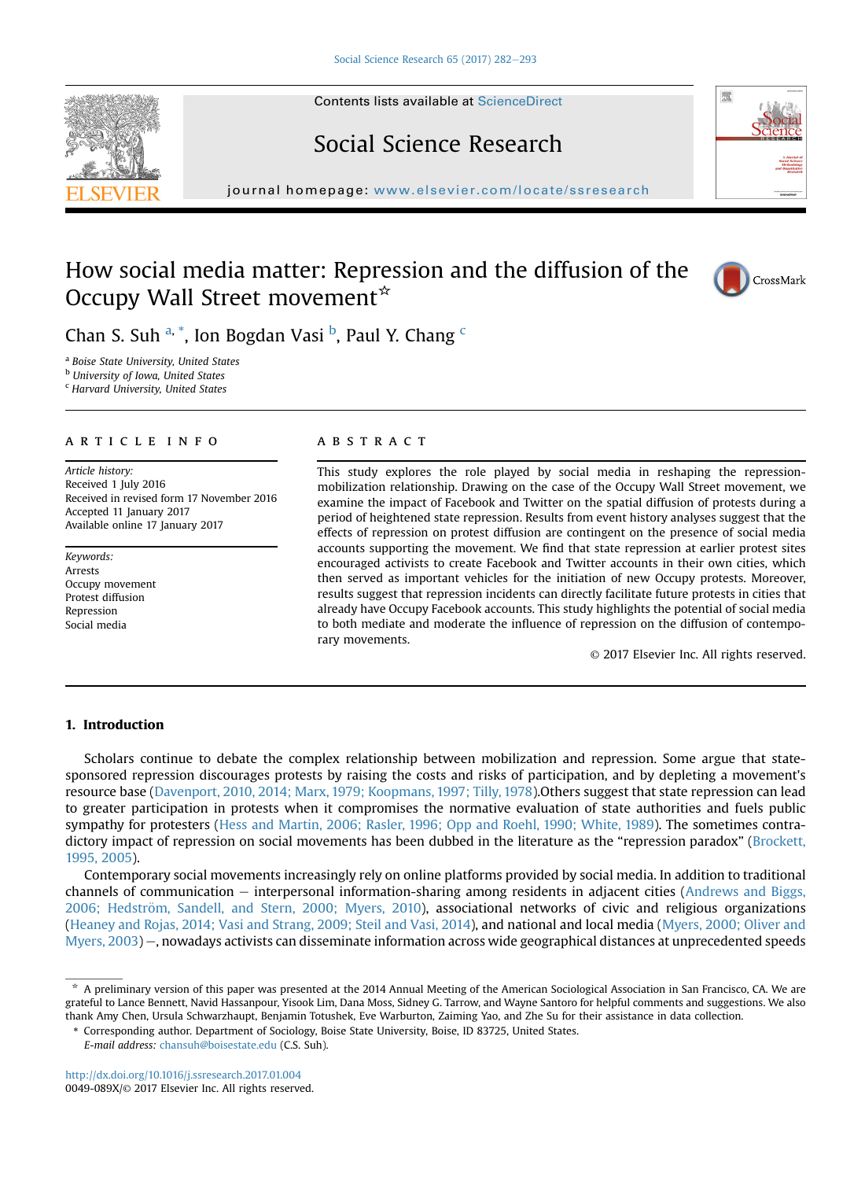## Social Science Research

journal homepage: <www.elsevier.com/locate/ssresearch>/locate/ssresearch/locate/ssresearch/locate/ssresearch/locate/ssresearch/locate/ssresearch/locate/ssresearch/locate/ssresearch/locate/ssresearch/locate/ssresearch/locate

### How social media matter: Repression and the diffusion of the Occupy Wall Street movement $\star$



<sup>a</sup> Boise State University, United States

**b** University of Iowa, United States

<sup>c</sup> Harvard University, United States

#### article info

Article history: Received 1 July 2016 Received in revised form 17 November 2016 Accepted 11 January 2017 Available online 17 January 2017

Keywords: Arrests Occupy movement Protest diffusion Repression Social media

#### **ABSTRACT**

This study explores the role played by social media in reshaping the repressionmobilization relationship. Drawing on the case of the Occupy Wall Street movement, we examine the impact of Facebook and Twitter on the spatial diffusion of protests during a period of heightened state repression. Results from event history analyses suggest that the effects of repression on protest diffusion are contingent on the presence of social media accounts supporting the movement. We find that state repression at earlier protest sites encouraged activists to create Facebook and Twitter accounts in their own cities, which then served as important vehicles for the initiation of new Occupy protests. Moreover, results suggest that repression incidents can directly facilitate future protests in cities that already have Occupy Facebook accounts. This study highlights the potential of social media to both mediate and moderate the influence of repression on the diffusion of contemporary movements.

© 2017 Elsevier Inc. All rights reserved.

#### 1. Introduction

Scholars continue to debate the complex relationship between mobilization and repression. Some argue that statesponsored repression discourages protests by raising the costs and risks of participation, and by depleting a movement's resource base [\(Davenport, 2010, 2014; Marx, 1979; Koopmans, 1997; Tilly, 1978](#page--1-0)).Others suggest that state repression can lead to greater participation in protests when it compromises the normative evaluation of state authorities and fuels public sympathy for protesters [\(Hess and Martin, 2006; Rasler, 1996; Opp and Roehl, 1990; White, 1989\)](#page--1-0). The sometimes contra-dictory impact of repression on social movements has been dubbed in the literature as the "repression paradox" ([Brockett,](#page--1-0) [1995, 2005](#page--1-0)).

Contemporary social movements increasingly rely on online platforms provided by social media. In addition to traditional channels of communication – interpersonal information-sharing among residents in adjacent cities ([Andrews and Biggs,](#page--1-0) [2006; Hedstr](#page--1-0)ö[m, Sandell, and Stern, 2000; Myers, 2010](#page--1-0)), associational networks of civic and religious organizations [\(Heaney and Rojas, 2014; Vasi and Strang, 2009; Steil and Vasi, 2014](#page--1-0)), and national and local media ([Myers, 2000; Oliver and](#page--1-0) [Myers, 2003](#page--1-0)) -, nowadays activists can disseminate information across wide geographical distances at unprecedented speeds







<sup>\*</sup> A preliminary version of this paper was presented at the 2014 Annual Meeting of the American Sociological Association in San Francisco, CA. We are grateful to Lance Bennett, Navid Hassanpour, Yisook Lim, Dana Moss, Sidney G. Tarrow, and Wayne Santoro for helpful comments and suggestions. We also thank Amy Chen, Ursula Schwarzhaupt, Benjamin Totushek, Eve Warburton, Zaiming Yao, and Zhe Su for their assistance in data collection.

<sup>\*</sup> Corresponding author. Department of Sociology, Boise State University, Boise, ID 83725, United States.

E-mail address: [chansuh@boisestate.edu](mailto:chansuh@boisestate.edu) (C.S. Suh).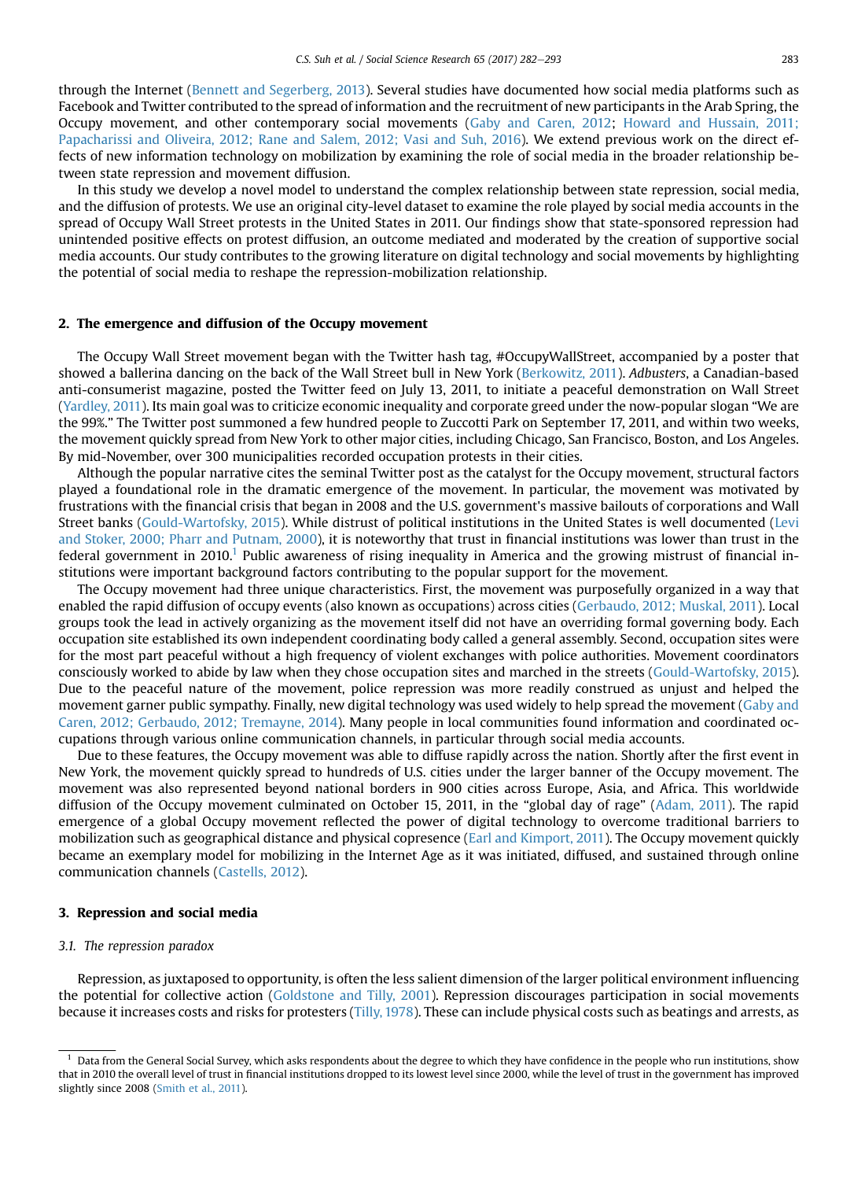through the Internet ([Bennett and Segerberg, 2013](#page--1-0)). Several studies have documented how social media platforms such as Facebook and Twitter contributed to the spread of information and the recruitment of new participants in the Arab Spring, the Occupy movement, and other contemporary social movements ([Gaby and Caren, 2012](#page--1-0); [Howard and Hussain, 2011;](#page--1-0) [Papacharissi and Oliveira, 2012; Rane and Salem, 2012; Vasi and Suh, 2016\)](#page--1-0). We extend previous work on the direct effects of new information technology on mobilization by examining the role of social media in the broader relationship between state repression and movement diffusion.

In this study we develop a novel model to understand the complex relationship between state repression, social media, and the diffusion of protests. We use an original city-level dataset to examine the role played by social media accounts in the spread of Occupy Wall Street protests in the United States in 2011. Our findings show that state-sponsored repression had unintended positive effects on protest diffusion, an outcome mediated and moderated by the creation of supportive social media accounts. Our study contributes to the growing literature on digital technology and social movements by highlighting the potential of social media to reshape the repression-mobilization relationship.

#### 2. The emergence and diffusion of the Occupy movement

The Occupy Wall Street movement began with the Twitter hash tag, #OccupyWallStreet, accompanied by a poster that showed a ballerina dancing on the back of the Wall Street bull in New York [\(Berkowitz, 2011\)](#page--1-0). Adbusters, a Canadian-based anti-consumerist magazine, posted the Twitter feed on July 13, 2011, to initiate a peaceful demonstration on Wall Street ([Yardley, 2011](#page--1-0)). Its main goal was to criticize economic inequality and corporate greed under the now-popular slogan "We are the 99%." The Twitter post summoned a few hundred people to Zuccotti Park on September 17, 2011, and within two weeks, the movement quickly spread from New York to other major cities, including Chicago, San Francisco, Boston, and Los Angeles. By mid-November, over 300 municipalities recorded occupation protests in their cities.

Although the popular narrative cites the seminal Twitter post as the catalyst for the Occupy movement, structural factors played a foundational role in the dramatic emergence of the movement. In particular, the movement was motivated by frustrations with the financial crisis that began in 2008 and the U.S. government's massive bailouts of corporations and Wall Street banks [\(Gould-Wartofsky, 2015](#page--1-0)). While distrust of political institutions in the United States is well documented ([Levi](#page--1-0) [and Stoker, 2000; Pharr and Putnam, 2000\)](#page--1-0), it is noteworthy that trust in financial institutions was lower than trust in the federal government in 2010.<sup>1</sup> Public awareness of rising inequality in America and the growing mistrust of financial institutions were important background factors contributing to the popular support for the movement.

The Occupy movement had three unique characteristics. First, the movement was purposefully organized in a way that enabled the rapid diffusion of occupy events (also known as occupations) across cities ([Gerbaudo, 2012; Muskal, 2011\)](#page--1-0). Local groups took the lead in actively organizing as the movement itself did not have an overriding formal governing body. Each occupation site established its own independent coordinating body called a general assembly. Second, occupation sites were for the most part peaceful without a high frequency of violent exchanges with police authorities. Movement coordinators consciously worked to abide by law when they chose occupation sites and marched in the streets [\(Gould-Wartofsky, 2015](#page--1-0)). Due to the peaceful nature of the movement, police repression was more readily construed as unjust and helped the movement garner public sympathy. Finally, new digital technology was used widely to help spread the movement ([Gaby and](#page--1-0) [Caren, 2012; Gerbaudo, 2012; Tremayne, 2014](#page--1-0)). Many people in local communities found information and coordinated occupations through various online communication channels, in particular through social media accounts.

Due to these features, the Occupy movement was able to diffuse rapidly across the nation. Shortly after the first event in New York, the movement quickly spread to hundreds of U.S. cities under the larger banner of the Occupy movement. The movement was also represented beyond national borders in 900 cities across Europe, Asia, and Africa. This worldwide diffusion of the Occupy movement culminated on October 15, 2011, in the "global day of rage" ([Adam, 2011\)](#page--1-0). The rapid emergence of a global Occupy movement reflected the power of digital technology to overcome traditional barriers to mobilization such as geographical distance and physical copresence [\(Earl and Kimport, 2011\)](#page--1-0). The Occupy movement quickly became an exemplary model for mobilizing in the Internet Age as it was initiated, diffused, and sustained through online communication channels ([Castells, 2012\)](#page--1-0).

#### 3. Repression and social media

#### 3.1. The repression paradox

Repression, as juxtaposed to opportunity, is often the less salient dimension of the larger political environment influencing the potential for collective action [\(Goldstone and Tilly, 2001](#page--1-0)). Repression discourages participation in social movements because it increases costs and risks for protesters [\(Tilly, 1978](#page--1-0)). These can include physical costs such as beatings and arrests, as

<sup>&</sup>lt;sup>1</sup> Data from the General Social Survey, which asks respondents about the degree to which they have confidence in the people who run institutions, show that in 2010 the overall level of trust in financial institutions dropped to its lowest level since 2000, while the level of trust in the government has improved slightly since 2008 ([Smith et al., 2011\)](#page--1-0).